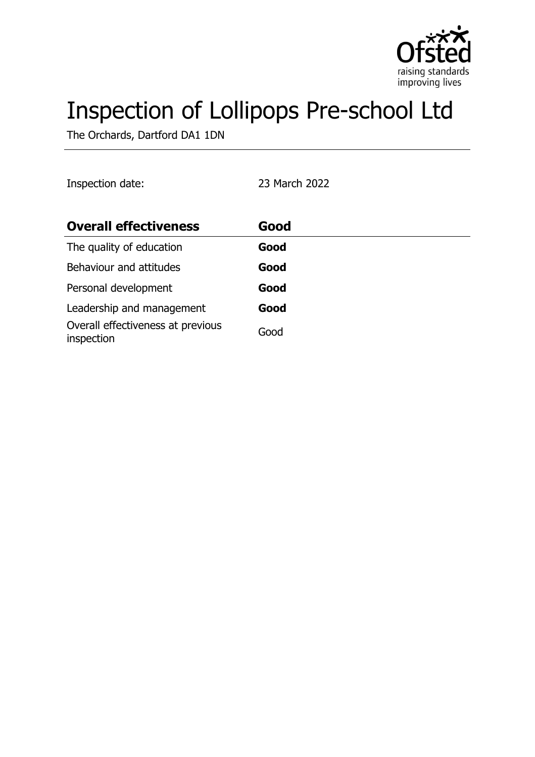

# Inspection of Lollipops Pre-school Ltd

The Orchards, Dartford DA1 1DN

| Inspection date:                                | 23 March 2022 |  |
|-------------------------------------------------|---------------|--|
| <b>Overall effectiveness</b>                    | Good          |  |
| The quality of education                        | Good          |  |
| Behaviour and attitudes                         | Good          |  |
| Personal development                            | Good          |  |
| Leadership and management                       | Good          |  |
| Overall effectiveness at previous<br>inspection | Good          |  |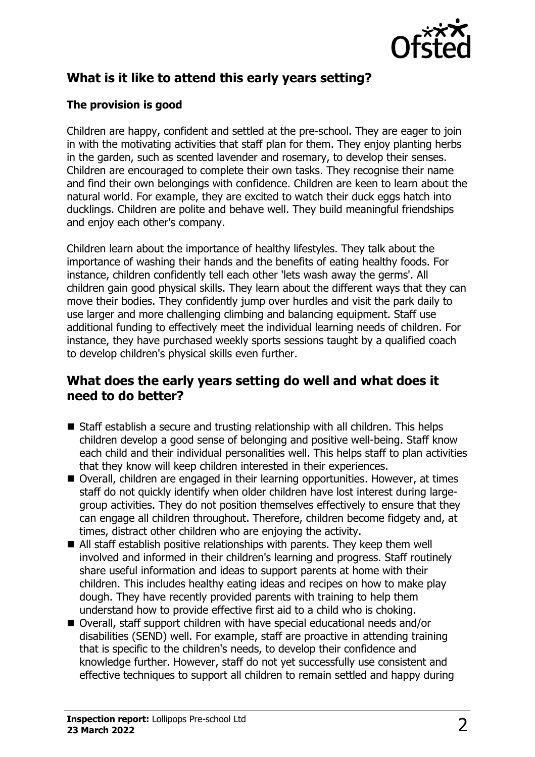

# **What is it like to attend this early years setting?**

#### **The provision is good**

Children are happy, confident and settled at the pre-school. They are eager to join in with the motivating activities that staff plan for them. They enjoy planting herbs in the garden, such as scented lavender and rosemary, to develop their senses. Children are encouraged to complete their own tasks. They recognise their name and find their own belongings with confidence. Children are keen to learn about the natural world. For example, they are excited to watch their duck eggs hatch into ducklings. Children are polite and behave well. They build meaningful friendships and enjoy each other's company.

Children learn about the importance of healthy lifestyles. They talk about the importance of washing their hands and the benefits of eating healthy foods. For instance, children confidently tell each other 'lets wash away the germs'. All children gain good physical skills. They learn about the different ways that they can move their bodies. They confidently jump over hurdles and visit the park daily to use larger and more challenging climbing and balancing equipment. Staff use additional funding to effectively meet the individual learning needs of children. For instance, they have purchased weekly sports sessions taught by a qualified coach to develop children's physical skills even further.

### **What does the early years setting do well and what does it need to do better?**

- $\blacksquare$  Staff establish a secure and trusting relationship with all children. This helps children develop a good sense of belonging and positive well-being. Staff know each child and their individual personalities well. This helps staff to plan activities that they know will keep children interested in their experiences.
- Overall, children are engaged in their learning opportunities. However, at times staff do not quickly identify when older children have lost interest during largegroup activities. They do not position themselves effectively to ensure that they can engage all children throughout. Therefore, children become fidgety and, at times, distract other children who are enjoying the activity.
- $\blacksquare$  All staff establish positive relationships with parents. They keep them well involved and informed in their children's learning and progress. Staff routinely share useful information and ideas to support parents at home with their children. This includes healthy eating ideas and recipes on how to make play dough. They have recently provided parents with training to help them understand how to provide effective first aid to a child who is choking.
- Overall, staff support children with have special educational needs and/or disabilities (SEND) well. For example, staff are proactive in attending training that is specific to the children's needs, to develop their confidence and knowledge further. However, staff do not yet successfully use consistent and effective techniques to support all children to remain settled and happy during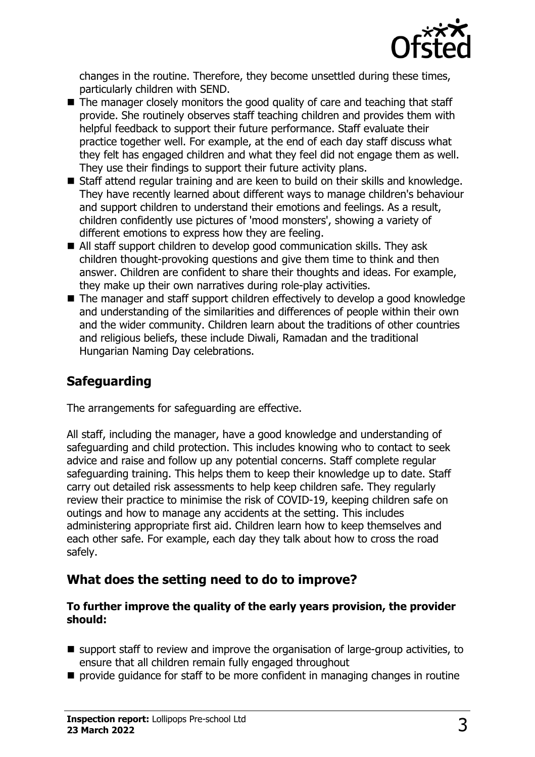

changes in the routine. Therefore, they become unsettled during these times, particularly children with SEND.

- $\blacksquare$  The manager closely monitors the good quality of care and teaching that staff provide. She routinely observes staff teaching children and provides them with helpful feedback to support their future performance. Staff evaluate their practice together well. For example, at the end of each day staff discuss what they felt has engaged children and what they feel did not engage them as well. They use their findings to support their future activity plans.
- $\blacksquare$  Staff attend regular training and are keen to build on their skills and knowledge. They have recently learned about different ways to manage children's behaviour and support children to understand their emotions and feelings. As a result, children confidently use pictures of 'mood monsters', showing a variety of different emotions to express how they are feeling.
- All staff support children to develop good communication skills. They ask children thought-provoking questions and give them time to think and then answer. Children are confident to share their thoughts and ideas. For example, they make up their own narratives during role-play activities.
- $\blacksquare$  The manager and staff support children effectively to develop a good knowledge and understanding of the similarities and differences of people within their own and the wider community. Children learn about the traditions of other countries and religious beliefs, these include Diwali, Ramadan and the traditional Hungarian Naming Day celebrations.

# **Safeguarding**

The arrangements for safeguarding are effective.

All staff, including the manager, have a good knowledge and understanding of safeguarding and child protection. This includes knowing who to contact to seek advice and raise and follow up any potential concerns. Staff complete regular safeguarding training. This helps them to keep their knowledge up to date. Staff carry out detailed risk assessments to help keep children safe. They regularly review their practice to minimise the risk of COVID-19, keeping children safe on outings and how to manage any accidents at the setting. This includes administering appropriate first aid. Children learn how to keep themselves and each other safe. For example, each day they talk about how to cross the road safely.

## **What does the setting need to do to improve?**

#### **To further improve the quality of the early years provision, the provider should:**

- $\blacksquare$  support staff to review and improve the organisation of large-group activities, to ensure that all children remain fully engaged throughout
- $\blacksquare$  provide guidance for staff to be more confident in managing changes in routine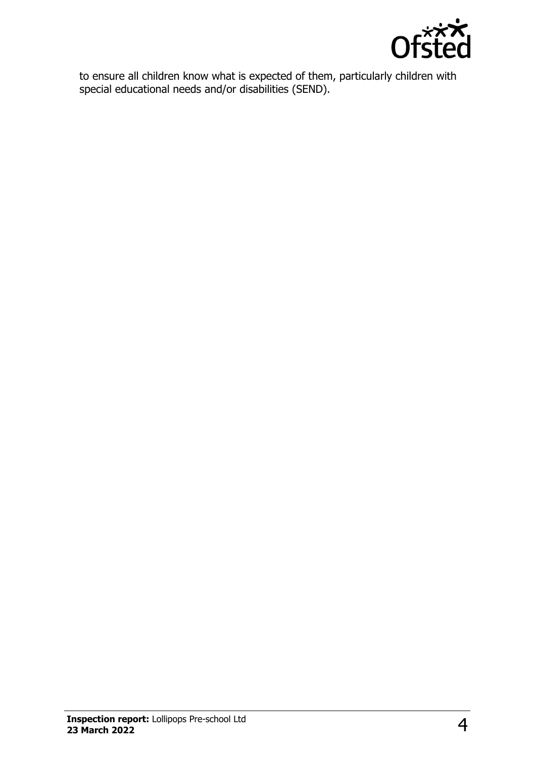

to ensure all children know what is expected of them, particularly children with special educational needs and/or disabilities (SEND).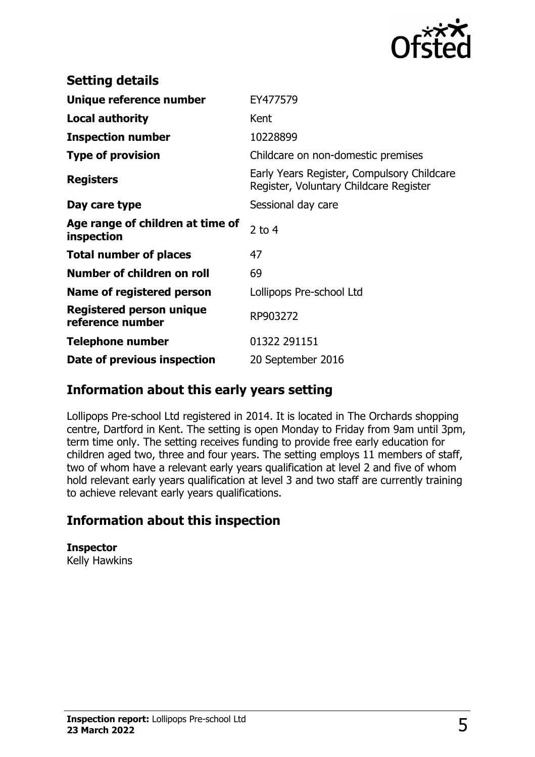

| <b>Setting details</b>                              |                                                                                      |
|-----------------------------------------------------|--------------------------------------------------------------------------------------|
| Unique reference number                             | EY477579                                                                             |
| <b>Local authority</b>                              | Kent                                                                                 |
| <b>Inspection number</b>                            | 10228899                                                                             |
| <b>Type of provision</b>                            | Childcare on non-domestic premises                                                   |
| <b>Registers</b>                                    | Early Years Register, Compulsory Childcare<br>Register, Voluntary Childcare Register |
| Day care type                                       | Sessional day care                                                                   |
| Age range of children at time of<br>inspection      | 2 to $4$                                                                             |
| <b>Total number of places</b>                       | 47                                                                                   |
| Number of children on roll                          | 69                                                                                   |
| Name of registered person                           | Lollipops Pre-school Ltd                                                             |
| <b>Registered person unique</b><br>reference number | RP903272                                                                             |
| <b>Telephone number</b>                             | 01322 291151                                                                         |
| Date of previous inspection                         | 20 September 2016                                                                    |

## **Information about this early years setting**

Lollipops Pre-school Ltd registered in 2014. It is located in The Orchards shopping centre, Dartford in Kent. The setting is open Monday to Friday from 9am until 3pm, term time only. The setting receives funding to provide free early education for children aged two, three and four years. The setting employs 11 members of staff, two of whom have a relevant early years qualification at level 2 and five of whom hold relevant early years qualification at level 3 and two staff are currently training to achieve relevant early years qualifications.

## **Information about this inspection**

**Inspector** Kelly Hawkins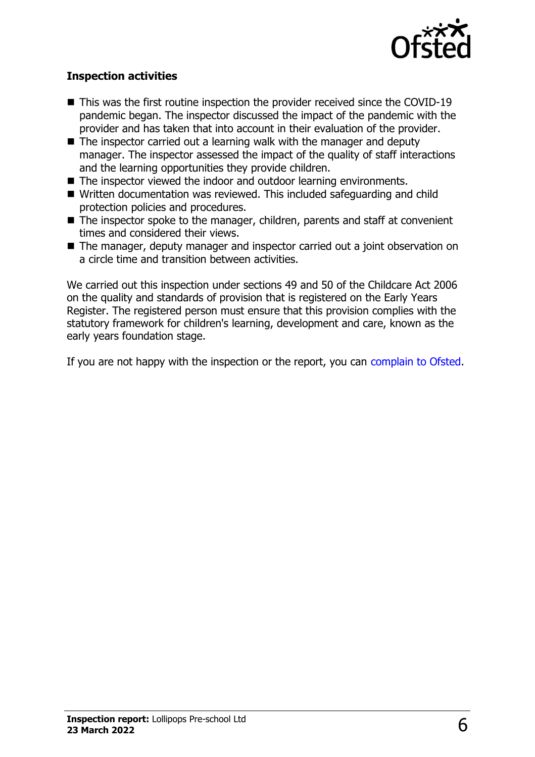

#### **Inspection activities**

- $\blacksquare$  This was the first routine inspection the provider received since the COVID-19 pandemic began. The inspector discussed the impact of the pandemic with the provider and has taken that into account in their evaluation of the provider.
- $\blacksquare$  The inspector carried out a learning walk with the manager and deputy manager. The inspector assessed the impact of the quality of staff interactions and the learning opportunities they provide children.
- $\blacksquare$  The inspector viewed the indoor and outdoor learning environments.
- Written documentation was reviewed. This included safeguarding and child protection policies and procedures.
- $\blacksquare$  The inspector spoke to the manager, children, parents and staff at convenient times and considered their views.
- The manager, deputy manager and inspector carried out a joint observation on a circle time and transition between activities.

We carried out this inspection under sections 49 and 50 of the Childcare Act 2006 on the quality and standards of provision that is registered on the Early Years Register. The registered person must ensure that this provision complies with the statutory framework for children's learning, development and care, known as the early years foundation stage.

If you are not happy with the inspection or the report, you can [complain to Ofsted](http://www.gov.uk/complain-ofsted-report).